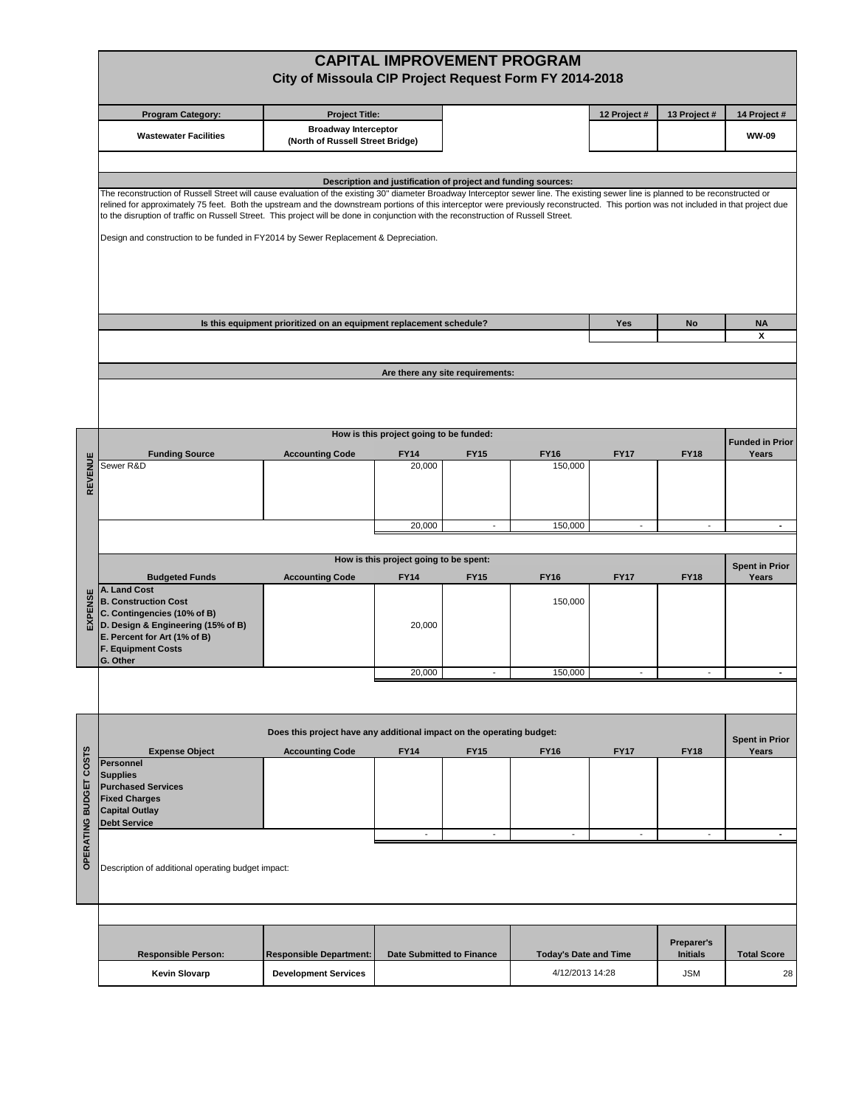|                  | <b>CAPITAL IMPROVEMENT PROGRAM</b><br>City of Missoula CIP Project Request Form FY 2014-2018                                                                                                                                                                                                                                                                                                                        |                                                                 |                                         |                                  |                                |                               |                    |                        |  |  |  |  |  |
|------------------|---------------------------------------------------------------------------------------------------------------------------------------------------------------------------------------------------------------------------------------------------------------------------------------------------------------------------------------------------------------------------------------------------------------------|-----------------------------------------------------------------|-----------------------------------------|----------------------------------|--------------------------------|-------------------------------|--------------------|------------------------|--|--|--|--|--|
|                  | <b>Program Category:</b>                                                                                                                                                                                                                                                                                                                                                                                            | <b>Project Title:</b>                                           |                                         |                                  |                                | 12 Project #                  | 13 Project #       | 14 Project #           |  |  |  |  |  |
|                  | <b>Wastewater Facilities</b>                                                                                                                                                                                                                                                                                                                                                                                        | <b>Broadway Interceptor</b><br>(North of Russell Street Bridge) |                                         |                                  |                                |                               | <b>WW-09</b>       |                        |  |  |  |  |  |
|                  |                                                                                                                                                                                                                                                                                                                                                                                                                     |                                                                 |                                         |                                  |                                |                               |                    |                        |  |  |  |  |  |
|                  | Description and justification of project and funding sources:<br>The reconstruction of Russell Street will cause evaluation of the existing 30" diameter Broadway Interceptor sewer line. The existing sewer line is planned to be reconstructed or                                                                                                                                                                 |                                                                 |                                         |                                  |                                |                               |                    |                        |  |  |  |  |  |
|                  | relined for approximately 75 feet. Both the upstream and the downstream portions of this interceptor were previously reconstructed. This portion was not included in that project due<br>to the disruption of traffic on Russell Street. This project will be done in conjunction with the reconstruction of Russell Street.<br>Design and construction to be funded in FY2014 by Sewer Replacement & Depreciation. |                                                                 |                                         |                                  |                                |                               |                    |                        |  |  |  |  |  |
|                  | Is this equipment prioritized on an equipment replacement schedule?<br>Yes<br>No                                                                                                                                                                                                                                                                                                                                    |                                                                 |                                         |                                  |                                |                               |                    |                        |  |  |  |  |  |
|                  |                                                                                                                                                                                                                                                                                                                                                                                                                     |                                                                 | <b>NA</b><br>x                          |                                  |                                |                               |                    |                        |  |  |  |  |  |
|                  |                                                                                                                                                                                                                                                                                                                                                                                                                     |                                                                 |                                         |                                  |                                |                               |                    |                        |  |  |  |  |  |
|                  |                                                                                                                                                                                                                                                                                                                                                                                                                     |                                                                 |                                         | Are there any site requirements: |                                |                               |                    |                        |  |  |  |  |  |
|                  |                                                                                                                                                                                                                                                                                                                                                                                                                     |                                                                 | How is this project going to be funded: |                                  |                                |                               |                    | <b>Funded in Prior</b> |  |  |  |  |  |
|                  | <b>Funding Source</b><br>Sewer R&D                                                                                                                                                                                                                                                                                                                                                                                  | <b>Accounting Code</b>                                          | <b>FY14</b><br>20,000                   | <b>FY15</b>                      | <b>FY16</b><br>150,000         | <b>FY17</b>                   | <b>FY18</b>        | Years                  |  |  |  |  |  |
| REVENUE          |                                                                                                                                                                                                                                                                                                                                                                                                                     |                                                                 |                                         |                                  |                                |                               |                    |                        |  |  |  |  |  |
|                  |                                                                                                                                                                                                                                                                                                                                                                                                                     |                                                                 | 20,000                                  |                                  | 150,000                        |                               |                    |                        |  |  |  |  |  |
|                  | How is this project going to be spent:                                                                                                                                                                                                                                                                                                                                                                              |                                                                 |                                         |                                  |                                |                               |                    |                        |  |  |  |  |  |
|                  | <b>Budgeted Funds</b>                                                                                                                                                                                                                                                                                                                                                                                               | <b>FY16</b>                                                     | <b>FY17</b>                             | <b>FY18</b>                      | <b>Spent in Prior</b><br>Years |                               |                    |                        |  |  |  |  |  |
| EXPENSE          | A. Land Cost<br><b>B. Construction Cost</b><br>C. Contingencies (10% of B)<br>D. Design & Engineering (15% of B)<br>E. Percent for Art (1% of B)<br><b>F. Equipment Costs</b><br>G. Other                                                                                                                                                                                                                           |                                                                 | 20,000                                  |                                  | 150,000                        |                               |                    |                        |  |  |  |  |  |
|                  |                                                                                                                                                                                                                                                                                                                                                                                                                     |                                                                 | 20,000                                  |                                  | 150,000                        |                               |                    |                        |  |  |  |  |  |
|                  |                                                                                                                                                                                                                                                                                                                                                                                                                     |                                                                 |                                         |                                  |                                |                               |                    |                        |  |  |  |  |  |
|                  | Does this project have any additional impact on the operating budget:<br><b>Spent in Prior</b>                                                                                                                                                                                                                                                                                                                      |                                                                 |                                         |                                  |                                |                               |                    |                        |  |  |  |  |  |
| COSTS            | <b>Expense Object</b><br><b>Personnel</b>                                                                                                                                                                                                                                                                                                                                                                           | <b>Accounting Code</b>                                          | <b>FY14</b>                             | <b>FY15</b>                      | <b>FY16</b>                    | <b>FY17</b>                   | <b>FY18</b>        | Years                  |  |  |  |  |  |
| OPERATING BUDGET | <b>Supplies</b><br><b>Purchased Services</b><br><b>Fixed Charges</b><br><b>Capital Outlay</b><br><b>Debt Service</b>                                                                                                                                                                                                                                                                                                |                                                                 |                                         |                                  |                                |                               |                    | $\blacksquare$         |  |  |  |  |  |
|                  | $\overline{\phantom{a}}$<br>$\overline{\phantom{a}}$<br>$\overline{\phantom{a}}$<br>$\overline{\phantom{a}}$<br>$\overline{\phantom{a}}$                                                                                                                                                                                                                                                                            |                                                                 |                                         |                                  |                                |                               |                    |                        |  |  |  |  |  |
|                  | Description of additional operating budget impact:                                                                                                                                                                                                                                                                                                                                                                  |                                                                 |                                         |                                  |                                |                               |                    |                        |  |  |  |  |  |
|                  |                                                                                                                                                                                                                                                                                                                                                                                                                     |                                                                 |                                         |                                  |                                |                               |                    |                        |  |  |  |  |  |
|                  | <b>Responsible Person:</b>                                                                                                                                                                                                                                                                                                                                                                                          | Date Submitted to Finance                                       |                                         | <b>Today's Date and Time</b>     |                                | Preparer's<br><b>Initials</b> | <b>Total Score</b> |                        |  |  |  |  |  |
|                  | <b>Kevin Slovarp</b>                                                                                                                                                                                                                                                                                                                                                                                                | <b>Development Services</b>                                     |                                         |                                  | 4/12/2013 14:28                |                               | <b>JSM</b>         | 28                     |  |  |  |  |  |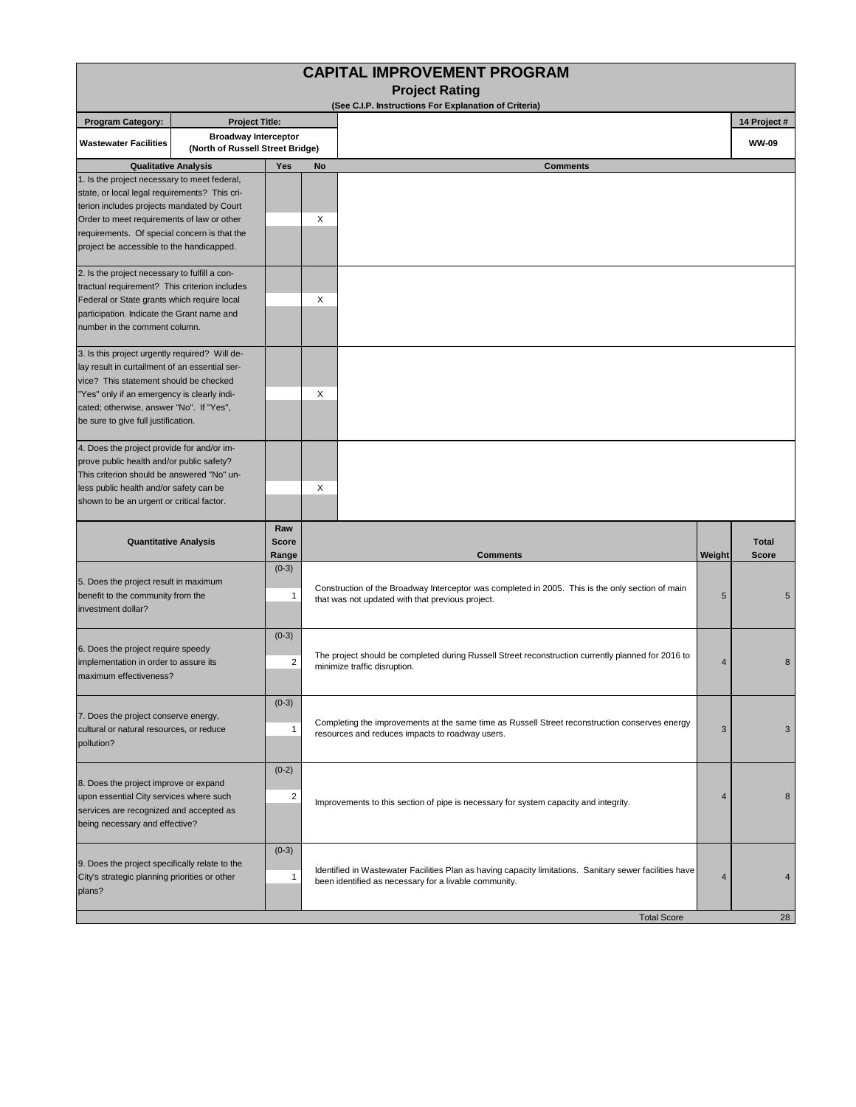| <b>CAPITAL IMPROVEMENT PROGRAM</b><br><b>Project Rating</b><br>(See C.I.P. Instructions For Explanation of Criteria)                                                                                                                                                                   |                                                                 |                              |                                                                                                                                                                  |        |                              |  |  |  |  |  |  |
|----------------------------------------------------------------------------------------------------------------------------------------------------------------------------------------------------------------------------------------------------------------------------------------|-----------------------------------------------------------------|------------------------------|------------------------------------------------------------------------------------------------------------------------------------------------------------------|--------|------------------------------|--|--|--|--|--|--|
|                                                                                                                                                                                                                                                                                        |                                                                 |                              |                                                                                                                                                                  |        |                              |  |  |  |  |  |  |
| <b>Wastewater Facilities</b>                                                                                                                                                                                                                                                           | <b>Broadway Interceptor</b><br>(North of Russell Street Bridge) |                              |                                                                                                                                                                  |        | <b>WW-09</b>                 |  |  |  |  |  |  |
| <b>Qualitative Analysis</b>                                                                                                                                                                                                                                                            |                                                                 | Yes                          | No<br><b>Comments</b>                                                                                                                                            |        |                              |  |  |  |  |  |  |
| 1. Is the project necessary to meet federal,<br>state, or local legal requirements? This cri-<br>terion includes projects mandated by Court<br>Order to meet requirements of law or other<br>requirements. Of special concern is that the<br>project be accessible to the handicapped. |                                                                 |                              | X                                                                                                                                                                |        |                              |  |  |  |  |  |  |
| 2. Is the project necessary to fulfill a con-<br>tractual requirement? This criterion includes<br>Federal or State grants which require local<br>participation. Indicate the Grant name and<br>number in the comment column.                                                           |                                                                 |                              | X                                                                                                                                                                |        |                              |  |  |  |  |  |  |
| 3. Is this project urgently required? Will de-<br>lay result in curtailment of an essential ser-<br>vice? This statement should be checked<br>"Yes" only if an emergency is clearly indi-<br>cated; otherwise, answer "No". If "Yes",<br>be sure to give full justification.           |                                                                 |                              | X                                                                                                                                                                |        |                              |  |  |  |  |  |  |
| 4. Does the project provide for and/or im-<br>prove public health and/or public safety?<br>This criterion should be answered "No" un-<br>less public health and/or safety can be<br>shown to be an urgent or critical factor.                                                          |                                                                 |                              | X                                                                                                                                                                |        |                              |  |  |  |  |  |  |
| <b>Quantitative Analysis</b>                                                                                                                                                                                                                                                           |                                                                 | Raw<br><b>Score</b><br>Range | <b>Comments</b>                                                                                                                                                  | Weight | <b>Total</b><br><b>Score</b> |  |  |  |  |  |  |
| 5. Does the project result in maximum<br>benefit to the community from the<br>investment dollar?                                                                                                                                                                                       |                                                                 | $(0-3)$<br>$\mathbf{1}$      | Construction of the Broadway Interceptor was completed in 2005. This is the only section of main<br>5<br>that was not updated with that previous project.        |        |                              |  |  |  |  |  |  |
| 6. Does the project require speedy<br>implementation in order to assure its<br>maximum effectiveness?                                                                                                                                                                                  |                                                                 | $(0-3)$<br>$\overline{2}$    | The project should be completed during Russell Street reconstruction currently planned for 2016 to<br>4<br>minimize traffic disruption.                          |        |                              |  |  |  |  |  |  |
| 7. Does the project conserve energy,<br>cultural or natural resources, or reduce<br>pollution?                                                                                                                                                                                         |                                                                 | $(0-3)$<br>$\mathbf{1}$      | Completing the improvements at the same time as Russell Street reconstruction conserves energy<br>3<br>resources and reduces impacts to roadway users.           |        |                              |  |  |  |  |  |  |
| 8. Does the project improve or expand<br>upon essential City services where such<br>services are recognized and accepted as<br>being necessary and effective?                                                                                                                          |                                                                 | $(0-2)$<br>$\overline{2}$    | Improvements to this section of pipe is necessary for system capacity and integrity.                                                                             | 4      | 8                            |  |  |  |  |  |  |
| 9. Does the project specifically relate to the<br>City's strategic planning priorities or other<br>plans?                                                                                                                                                                              |                                                                 | $(0-3)$<br>$\mathbf{1}$      | Identified in Wastewater Facilities Plan as having capacity limitations. Sanitary sewer facilities have<br>been identified as necessary for a livable community. | 4      |                              |  |  |  |  |  |  |
|                                                                                                                                                                                                                                                                                        |                                                                 |                              | <b>Total Score</b>                                                                                                                                               |        | 28                           |  |  |  |  |  |  |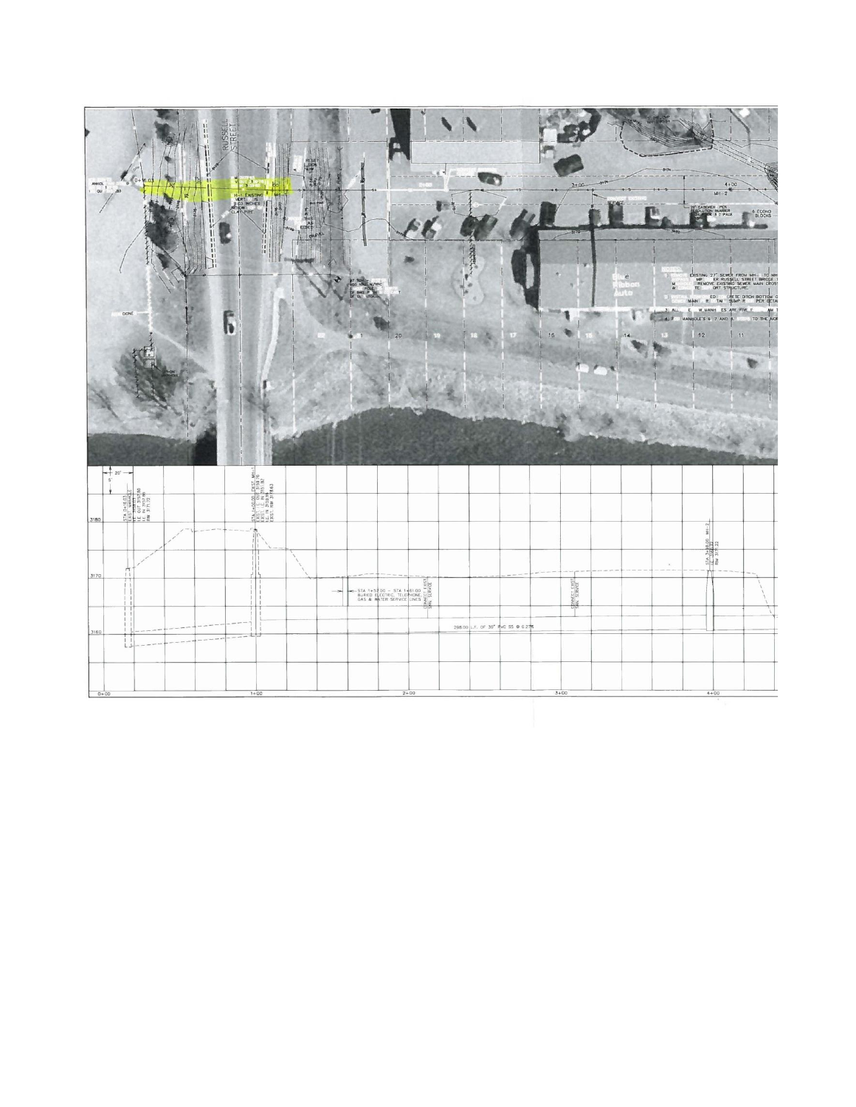